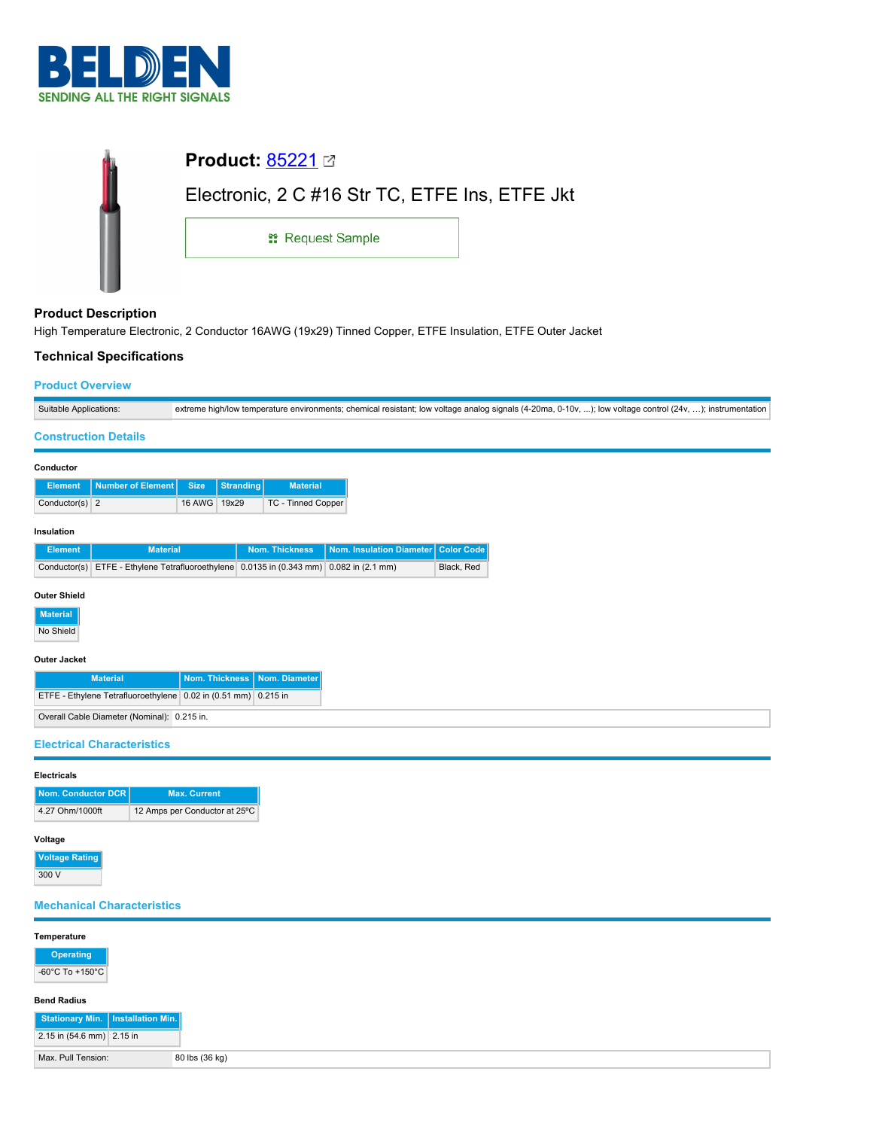

| <b>Product: 85221 27</b>                       |  |
|------------------------------------------------|--|
| Electronic, 2 C #16 Str TC, ETFE Ins, ETFE Jkt |  |
| <b>: Request Sample</b>                        |  |
|                                                |  |

# **Product Description**

High Temperature Electronic, 2 Conductor 16AWG (19x29) Tinned Copper, ETFE Insulation, ETFE Outer Jacket

# **Technical Specifications**

#### **Product Overview**

| Suitable Applications: | extreme high/low temperature environments; chemical resistant; low voltage analog signals (4-20ma, 0-10v, ); low voltage control (24v, ); instrumentation |
|------------------------|-----------------------------------------------------------------------------------------------------------------------------------------------------------|

#### **Construction Details**

| Conductor      |                   |              |                  |                    |                                  |  |
|----------------|-------------------|--------------|------------------|--------------------|----------------------------------|--|
| Element        | Number of Element | Size.        | <b>Stranding</b> | <b>Material</b>    |                                  |  |
| Conductor(s) 2 |                   | 16 AWG 19x29 |                  | TC - Tinned Copper |                                  |  |
| Insulation     |                   |              |                  |                    |                                  |  |
| Element        | <b>Motorial</b>   |              |                  | Nom Thioknoon      | Nom Inquistion Diamotor Color Co |  |

| Element | <b>Material</b>                                                                         | Nom. Thickness   Nom. Insulation Diameter   Color Code |            |
|---------|-----------------------------------------------------------------------------------------|--------------------------------------------------------|------------|
|         | Conductor(s) ETFE - Ethylene Tetrafluoroethylene 0.0135 in (0.343 mm) 0.082 in (2.1 mm) |                                                        | Black, Red |

#### **Outer Shield**

**Material**

No Shield

### **Outer Jacket**

| <b>Material</b>                                                | Nom. Thickness   Nom. Diameter |  |
|----------------------------------------------------------------|--------------------------------|--|
| ETFE - Ethylene Tetrafluoroethylene 0.02 in (0.51 mm) 0.215 in |                                |  |
| Overall Cable Diameter (Nominal): 0.215 in.                    |                                |  |

#### **Electrical Characteristics**

| Nom. Conductor DCR I | <b>Max. Current</b>           |
|----------------------|-------------------------------|
| 4.27 Ohm/1000ft      | 12 Amps per Conductor at 25°C |

# **Voltage Rating**

 $300V$ 

# **Mechanical Characteristics**

| Temperature                         |                |
|-------------------------------------|----------------|
| Operating                           |                |
| -60°C To +150°C                     |                |
| <b>Bend Radius</b>                  |                |
| Stationary Min.   Installation Min. |                |
| 2.15 in (54.6 mm) 2.15 in           |                |
| Max. Pull Tension:                  | 80 lbs (36 kg) |